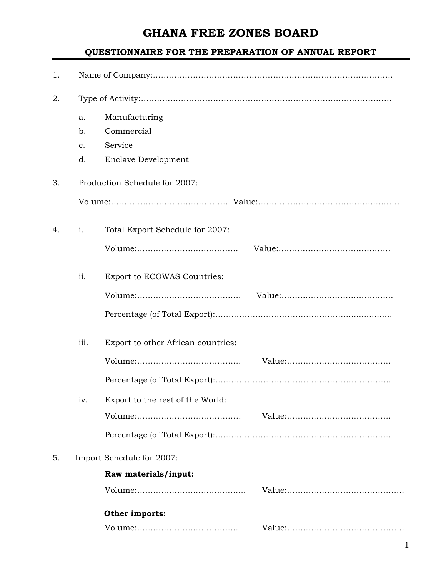## **GHANA FREE ZONES BOARD**

## **QUESTIONNAIRE FOR THE PREPARATION OF ANNUAL REPORT**

| 1. |               |                                    |  |  |  |
|----|---------------|------------------------------------|--|--|--|
| 2. |               |                                    |  |  |  |
|    | a.            | Manufacturing                      |  |  |  |
|    | b.            | Commercial                         |  |  |  |
|    | $C_{\bullet}$ | Service                            |  |  |  |
|    | d.            | <b>Enclave Development</b>         |  |  |  |
| 3. |               | Production Schedule for 2007:      |  |  |  |
|    |               |                                    |  |  |  |
| 4. | i.            | Total Export Schedule for 2007:    |  |  |  |
|    |               |                                    |  |  |  |
|    | ii.           | Export to ECOWAS Countries:        |  |  |  |
|    |               |                                    |  |  |  |
|    |               |                                    |  |  |  |
|    | iii.          | Export to other African countries: |  |  |  |
|    |               |                                    |  |  |  |
|    |               |                                    |  |  |  |
|    | iv.           | Export to the rest of the World:   |  |  |  |
|    |               |                                    |  |  |  |
|    |               |                                    |  |  |  |
| 5. |               | Import Schedule for 2007:          |  |  |  |
|    |               | Raw materials/input:               |  |  |  |
|    |               |                                    |  |  |  |
|    |               | Other imports:                     |  |  |  |
|    |               |                                    |  |  |  |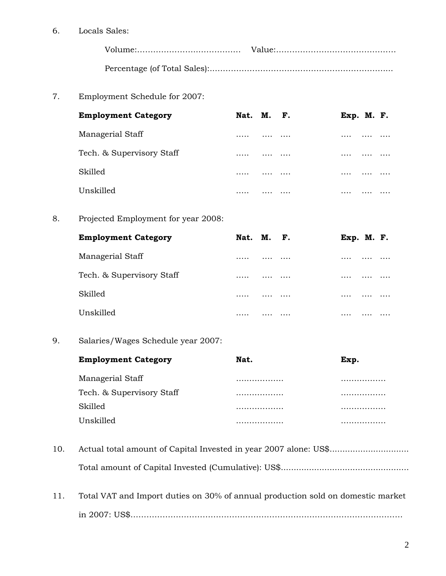6. Locals Sales:

7. Employment Schedule for 2007:

| <b>Employment Category</b> | Nat. M. F. |   |          | Exp. M. F. |  |
|----------------------------|------------|---|----------|------------|--|
| Managerial Staff           | .          | . | $\cdots$ | .          |  |
| Tech. & Supervisory Staff  |            | . | $\cdots$ | .          |  |
| Skilled                    | .          | . | $\cdots$ | $\cdots$   |  |
| Unskilled                  | .          |   | .        | .          |  |

8. Projected Employment for year 2008:

| <b>Employment Category</b> | Nat. M. F. |   |          | Exp. M. F. |  |
|----------------------------|------------|---|----------|------------|--|
| Managerial Staff           | .          | . | $\cdots$ | .          |  |
| Tech. & Supervisory Staff  |            | . | $\cdots$ | .          |  |
| Skilled                    | .          | . | $\cdots$ | $\cdots$   |  |
| Unskilled                  | .          | . | .        | .          |  |

9. Salaries/Wages Schedule year 2007:

| <b>Employment Category</b> | Nat. | Exp. |
|----------------------------|------|------|
| Managerial Staff           | .    | .    |
| Tech. & Supervisory Staff  | .    | .    |
| <b>Skilled</b>             | .    | .    |
| Unskilled.                 | .    | .    |

- 10. Actual total amount of Capital Invested in year 2007 alone: US\$................................ Total amount of Capital Invested (Cumulative): US\$..................................................
- 11. Total VAT and Import duties on 30% of annual production sold on domestic market in 2007: US\$…………………………………………………………………………………………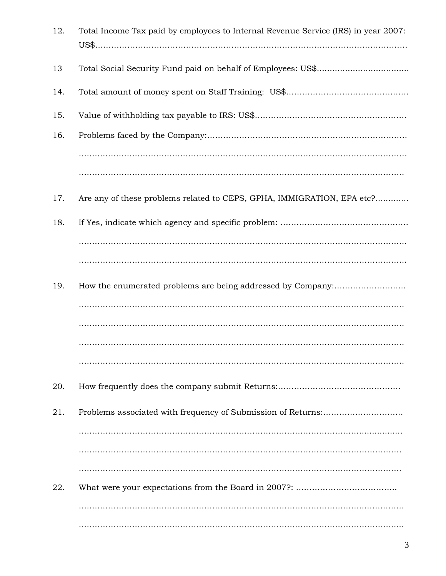| 12. | Total Income Tax paid by employees to Internal Revenue Service (IRS) in year 2007: |
|-----|------------------------------------------------------------------------------------|
| 13  |                                                                                    |
| 14. |                                                                                    |
| 15. |                                                                                    |
| 16. |                                                                                    |
|     |                                                                                    |
|     |                                                                                    |
| 17. | Are any of these problems related to CEPS, GPHA, IMMIGRATION, EPA etc?             |
| 18. |                                                                                    |
|     |                                                                                    |
|     |                                                                                    |
| 19. |                                                                                    |
|     |                                                                                    |
|     |                                                                                    |
|     |                                                                                    |
|     |                                                                                    |
| 20. |                                                                                    |
| 21. |                                                                                    |
|     |                                                                                    |
|     |                                                                                    |
|     |                                                                                    |
| 22. |                                                                                    |
|     |                                                                                    |
|     |                                                                                    |